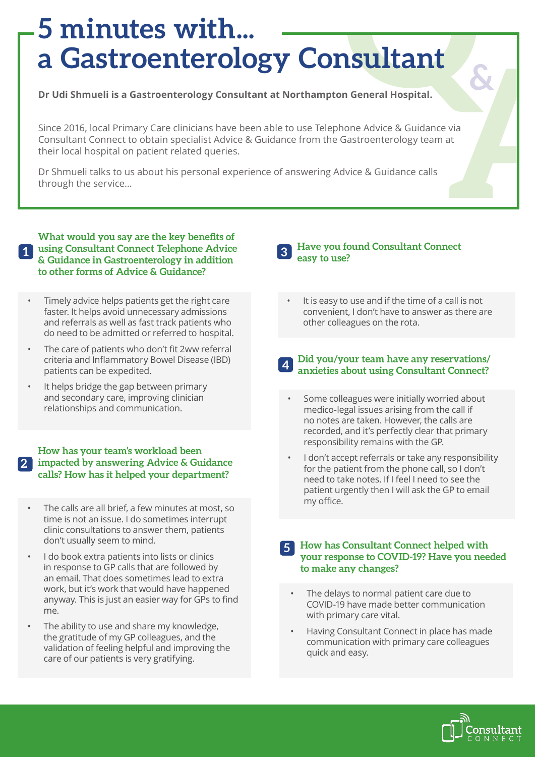### **Sultant 5 minutes with... a Gastroenterology Consultant**

**Dr Udi Shmueli is a Gastroenterology Consultant at Northampton General Hospital.** 

**A** Since 2016, local Primary Care clinicians have been able to use Telephone Advice & Guidance via Consultant Connect to obtain specialist Advice & Guidance from the Gastroenterology team at their local hospital on patient related queries.

Dr Shmueli talks to us about his personal experience of answering Advice & Guidance calls through the service…

**1 using Consultant Connect Telephone Advice What would you say are the key benefits of & Guidance in Gastroenterology in addition to other forms of Advice & Guidance? 1**

- Timely advice helps patients get the right care faster. It helps avoid unnecessary admissions and referrals as well as fast track patients who do need to be admitted or referred to hospital.
- The care of patients who don't fit 2ww referral criteria and Inflammatory Bowel Disease (IBD) patients can be expedited.
- It helps bridge the gap between primary and secondary care, improving clinician relationships and communication.

**How has your team's workload been impacted by answering Advice & Guidance calls? How has it helped your department? 2**

- The calls are all brief, a few minutes at most, so time is not an issue. I do sometimes interrupt clinic consultations to answer them, patients don't usually seem to mind.
- I do book extra patients into lists or clinics in response to GP calls that are followed by an email. That does sometimes lead to extra work, but it's work that would have happened anyway. This is just an easier way for GPs to find me.
- The ability to use and share my knowledge, the gratitude of my GP colleagues, and the validation of feeling helpful and improving the care of our patients is very gratifying.

### **3 Have you found Consultant Connect easy to use?**

It is easy to use and if the time of a call is not convenient, I don't have to answer as there are other colleagues on the rota.

### **4 Did you/your team have any reservations/ anxieties about using Consultant Connect?**

- Some colleagues were initially worried about medico-legal issues arising from the call if no notes are taken. However, the calls are recorded, and it's perfectly clear that primary responsibility remains with the GP.
- I don't accept referrals or take any responsibility for the patient from the phone call, so I don't need to take notes. If I feel I need to see the patient urgently then I will ask the GP to email my office.

### **5 How has Consultant Connect helped with your response to COVID-19? Have you needed to make any changes?**

- The delays to normal patient care due to COVID-19 have made better communication with primary care vital.
- Having Consultant Connect in place has made communication with primary care colleagues quick and easy.